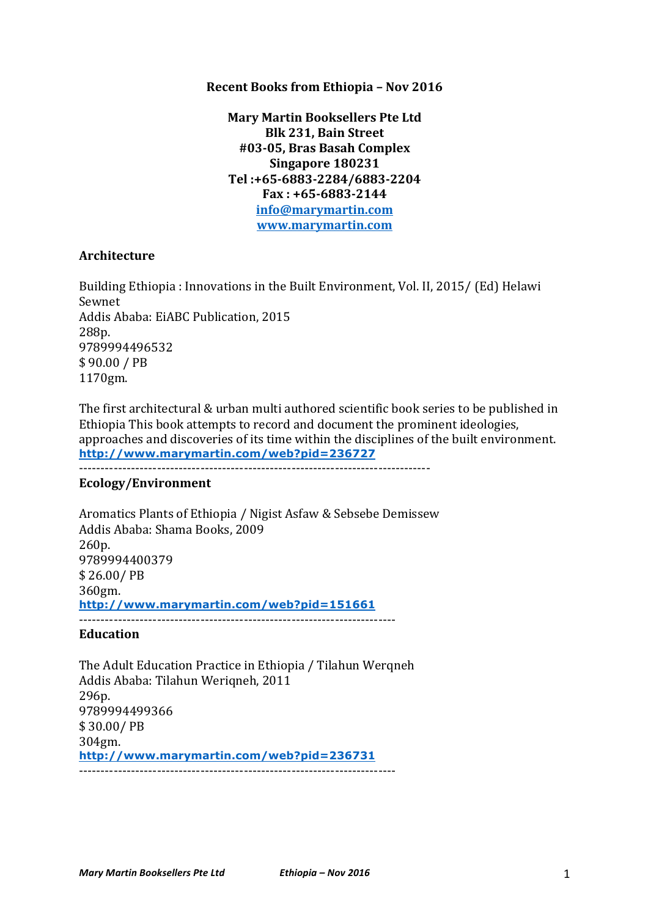### **Recent Books from Ethiopia - Nov 2016**

**Mary Martin Booksellers Pte Ltd Blk 231, Bain Street #03-05, Bras Basah Complex Singapore 180231 Tel :+65-6883-2284/6883-2204 Fax : +65-6883-2144 info@marymartin.com www.marymartin.com**

### **Architecture**

Building Ethiopia: Innovations in the Built Environment, Vol. II, 2015/ (Ed) Helawi Sewnet Addis Ababa: EiABC Publication, 2015 288p. 9789994496532 \$90.00 / PB 1170gm.

The first architectural & urban multi authored scientific book series to be published in Ethiopia This book attempts to record and document the prominent ideologies, approaches and discoveries of its time within the disciplines of the built environment. **http://www.marymartin.com/web?pid=236727** ---------------------------------------------------------------------------------

#### **Ecology/Environment**

Aromatics Plants of Ethiopia / Nigist Asfaw & Sebsebe Demissew Addis Ababa: Shama Books, 2009 260p. 9789994400379 \$ 26.00/ PB 360gm. **http://www.marymartin.com/web?pid=151661** -------------------------------------------------------------------------

### **Education**

The Adult Education Practice in Ethiopia / Tilahun Wergneh Addis Ababa: Tilahun Werigneh, 2011 296p. 9789994499366 \$ 30.00/ PB 304gm. **http://www.marymartin.com/web?pid=236731** -------------------------------------------------------------------------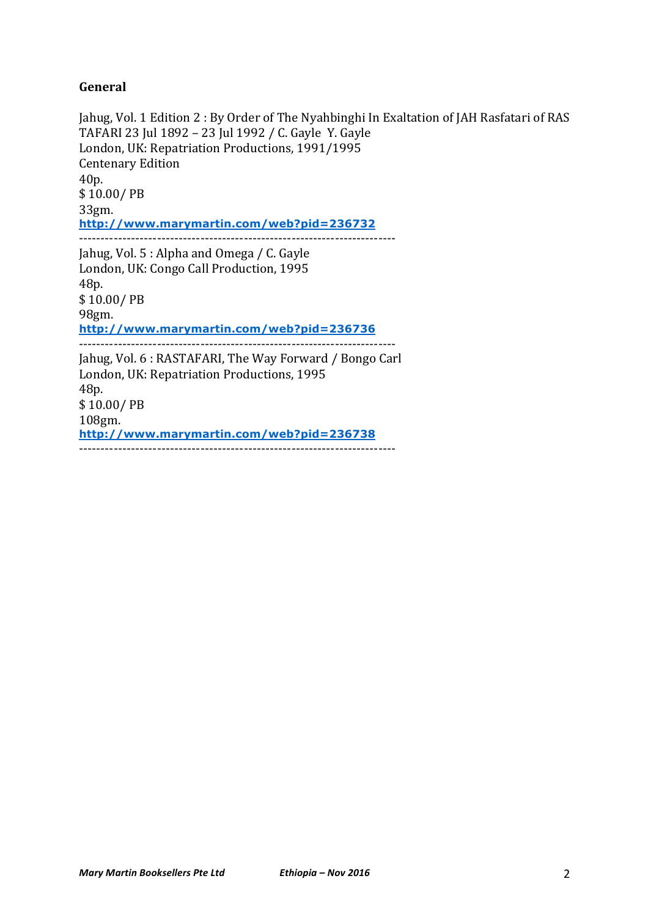## **General**

Jahug, Vol. 1 Edition 2 : By Order of The Nyahbinghi In Exaltation of JAH Rasfatari of RAS TAFARI 23 Jul 1892 - 23 Jul 1992 / C. Gayle Y. Gayle London, UK: Repatriation Productions, 1991/1995 Centenary Edition 40p. \$ 10.00/ PB 33gm. **http://www.marymartin.com/web?pid=236732** ------------------------------------------------------------------------- Jahug, Vol. 5 : Alpha and Omega / C. Gayle London, UK: Congo Call Production, 1995 48p. \$10.00/PB 98gm. **http://www.marymartin.com/web?pid=236736** ------------------------------------------------------------------------- Jahug, Vol. 6 : RASTAFARI, The Way Forward / Bongo Carl London, UK: Repatriation Productions, 1995 48p. \$ 10.00/ PB 108gm.

**http://www.marymartin.com/web?pid=236738** -------------------------------------------------------------------------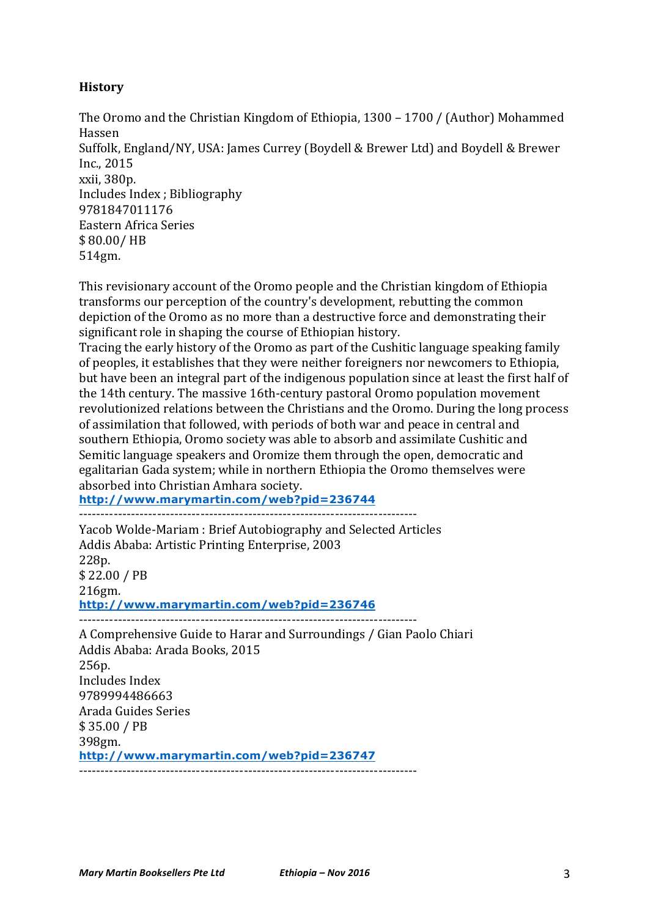# **History**

The Oromo and the Christian Kingdom of Ethiopia, 1300 – 1700 / (Author) Mohammed Hassen Suffolk, England/NY, USA: James Currey (Boydell & Brewer Ltd) and Boydell & Brewer Inc., 2015 xxii, 380p. Includes Index ; Bibliography 9781847011176 Eastern Africa Series \$ 80.00/ HB 514gm.

This revisionary account of the Oromo people and the Christian kingdom of Ethiopia transforms our perception of the country's development, rebutting the common depiction of the Oromo as no more than a destructive force and demonstrating their significant role in shaping the course of Ethiopian history.

Tracing the early history of the Oromo as part of the Cushitic language speaking family of peoples, it establishes that they were neither foreigners nor newcomers to Ethiopia, but have been an integral part of the indigenous population since at least the first half of the 14th century. The massive 16th-century pastoral Oromo population movement revolutionized relations between the Christians and the Oromo. During the long process of assimilation that followed, with periods of both war and peace in central and southern Ethiopia, Oromo society was able to absorb and assimilate Cushitic and Semitic language speakers and Oromize them through the open, democratic and egalitarian Gada system; while in northern Ethiopia the Oromo themselves were absorbed into Christian Amhara society.

**http://www.marymartin.com/web?pid=236744** ------------------------------------------------------------------------------

Yacob Wolde-Mariam : Brief Autobiography and Selected Articles Addis Ababa: Artistic Printing Enterprise, 2003 228p. \$ 22.00 / PB 216gm. **http://www.marymartin.com/web?pid=236746** ------------------------------------------------------------------------------

A Comprehensive Guide to Harar and Surroundings / Gian Paolo Chiari Addis Ababa: Arada Books, 2015 256p. Includes Index 9789994486663 Arada Guides Series \$ 35.00 / PB 398gm. **http://www.marymartin.com/web?pid=236747** ------------------------------------------------------------------------------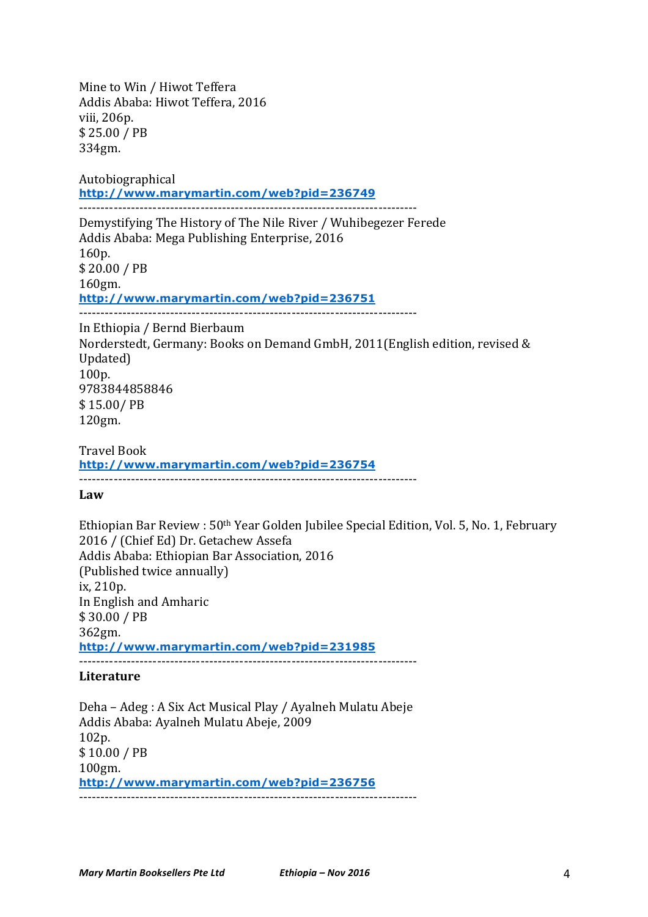Mine to Win / Hiwot Teffera Addis Ababa: Hiwot Teffera, 2016 viii. 206p. \$ 25.00 / PB 334gm.

Autobiographical **http://www.marymartin.com/web?pid=236749** ------------------------------------------------------------------------------

Demystifying The History of The Nile River / Wuhibegezer Ferede Addis Ababa: Mega Publishing Enterprise, 2016 160p. \$ 20.00 / PB 160gm. **http://www.marymartin.com/web?pid=236751** ------------------------------------------------------------------------------

In Ethiopia / Bernd Bierbaum Norderstedt, Germany: Books on Demand GmbH, 2011(English edition, revised & Updated) 100p. 9783844858846 \$ 15.00/ PB 120gm.

Travel Book **http://www.marymartin.com/web?pid=236754** ------------------------------------------------------------------------------

**Law**

Ethiopian Bar Review : 50<sup>th</sup> Year Golden Jubilee Special Edition, Vol. 5, No. 1, February 2016 / (Chief Ed) Dr. Getachew Assefa Addis Ababa: Ethiopian Bar Association, 2016 (Published twice annually) ix, 210p. In English and Amharic \$ 30.00 / PB 362gm. **http://www.marymartin.com/web?pid=231985** ------------------------------------------------------------------------------

## **Literature**

Deha - Adeg : A Six Act Musical Play / Ayalneh Mulatu Abeje Addis Ababa: Ayalneh Mulatu Abeje, 2009 102p. \$ 10.00 / PB 100gm. **http://www.marymartin.com/web?pid=236756** ------------------------------------------------------------------------------